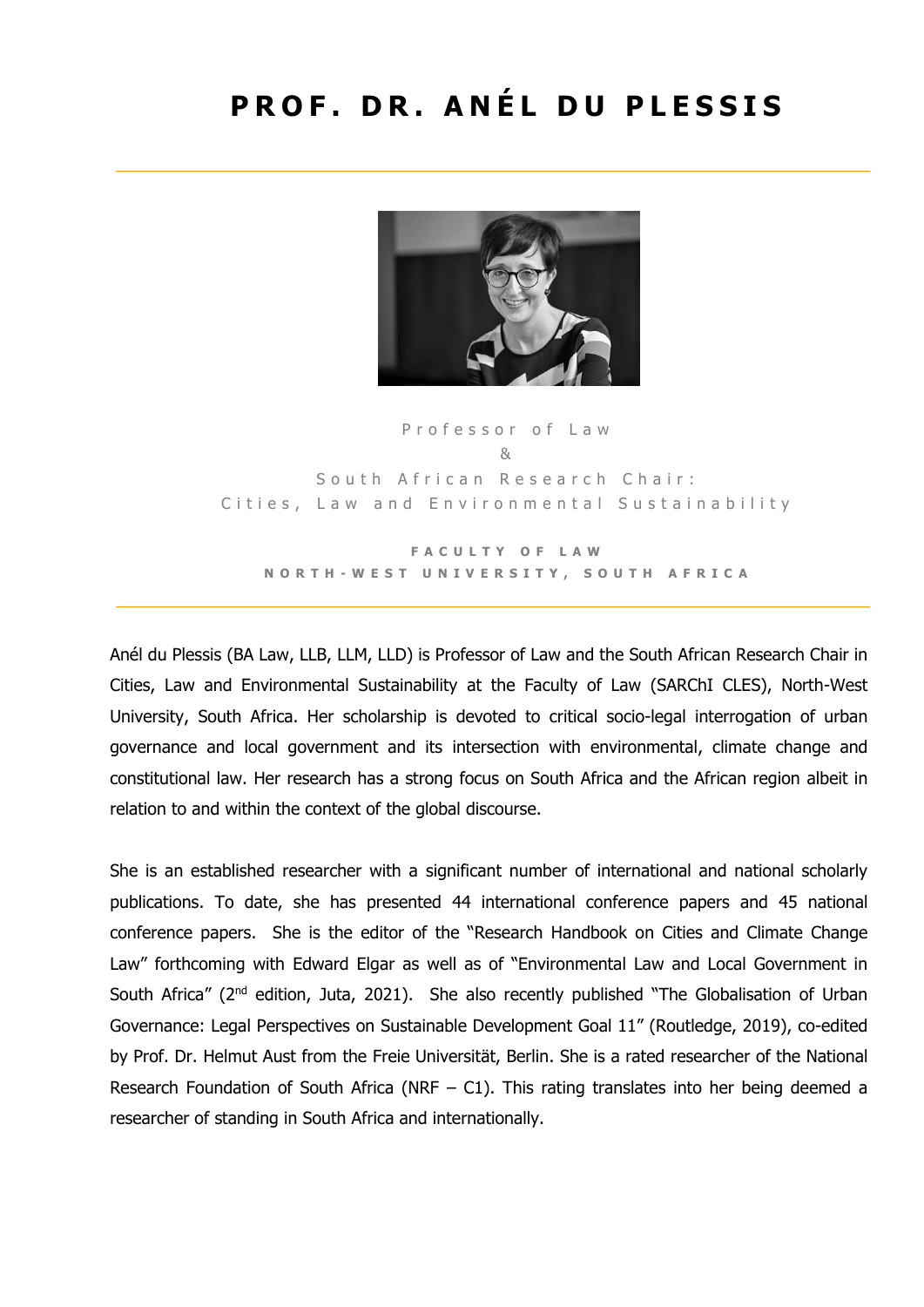

Professor of Law & South African Research Chair: Cities, Law and Environmental Sustainability

**F A C U L T Y O F L A W N O R T H - W E S T U N I V E R S I T Y , S O U T H A F R I C A**

Anél du Plessis (BA Law, LLB, LLM, LLD) is Professor of Law and the South African Research Chair in Cities, Law and Environmental Sustainability at the Faculty of Law (SARChI CLES), North-West University, South Africa. Her scholarship is devoted to critical socio-legal interrogation of urban governance and local government and its intersection with environmental, climate change and constitutional law. Her research has a strong focus on South Africa and the African region albeit in relation to and within the context of the global discourse.

She is an established researcher with a significant number of international and national scholarly publications. To date, she has presented 44 international conference papers and 45 national conference papers. She is the editor of the "Research Handbook on Cities and Climate Change Law" forthcoming with Edward Elgar as well as of "Environmental Law and Local Government in South Africa" (2<sup>nd</sup> edition, Juta, 2021). She also recently published "The Globalisation of Urban Governance: Legal Perspectives on Sustainable Development Goal 11" (Routledge, 2019), co-edited by Prof. Dr. Helmut Aust from the Freie Universität, Berlin. She is a rated researcher of the National Research Foundation of South Africa (NRF  $-$  C1). This rating translates into her being deemed a researcher of standing in South Africa and internationally.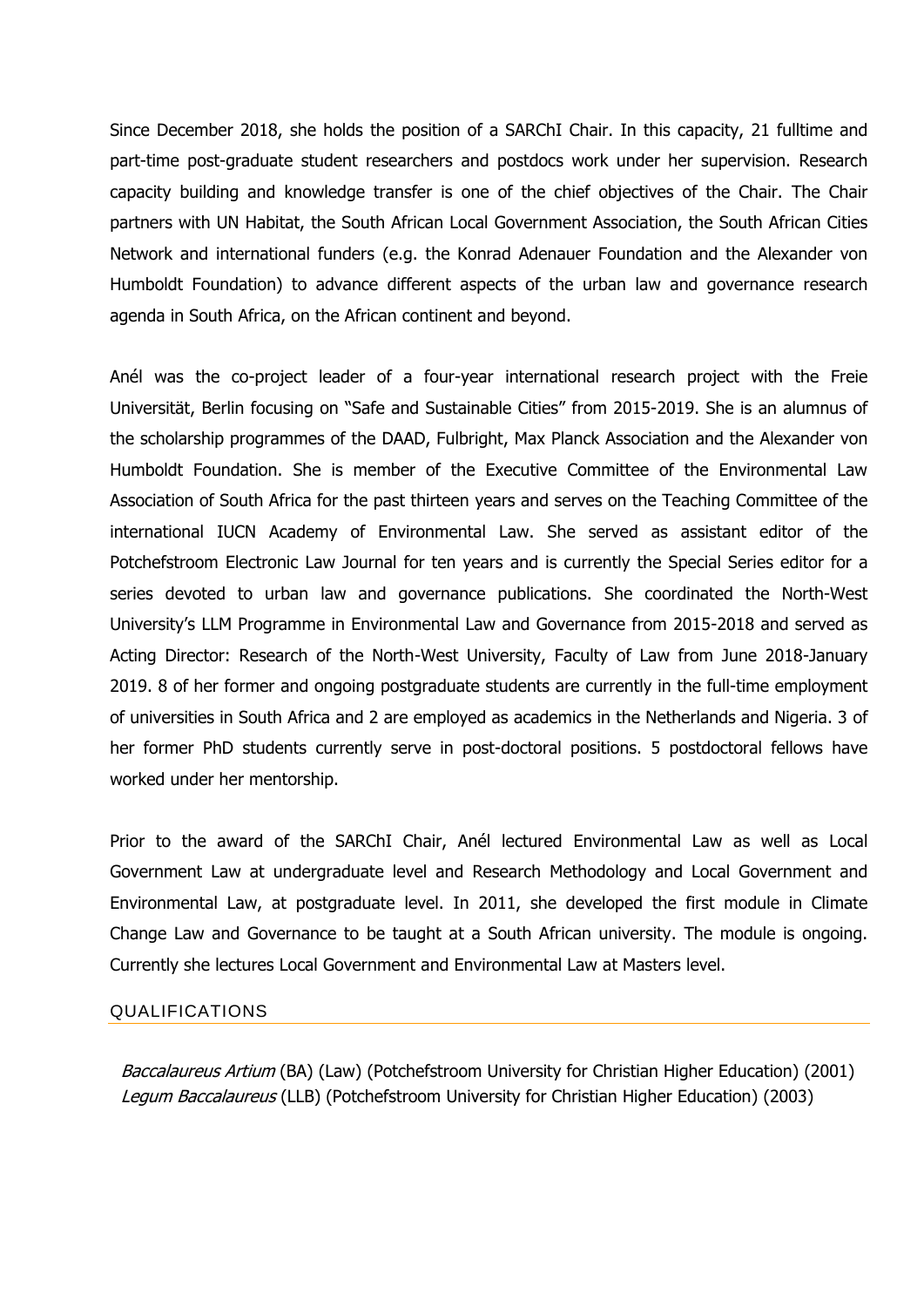Since December 2018, she holds the position of a SARChI Chair. In this capacity, 21 fulltime and part-time post-graduate student researchers and postdocs work under her supervision. Research capacity building and knowledge transfer is one of the chief objectives of the Chair. The Chair partners with UN Habitat, the South African Local Government Association, the South African Cities Network and international funders (e.g. the Konrad Adenauer Foundation and the Alexander von Humboldt Foundation) to advance different aspects of the urban law and governance research agenda in South Africa, on the African continent and beyond.

Anél was the co-project leader of a four-year international research project with the Freie Universität, Berlin focusing on "Safe and Sustainable Cities" from 2015-2019. She is an alumnus of the scholarship programmes of the DAAD, Fulbright, Max Planck Association and the Alexander von Humboldt Foundation. She is member of the Executive Committee of the Environmental Law Association of South Africa for the past thirteen years and serves on the Teaching Committee of the international IUCN Academy of Environmental Law. She served as assistant editor of the Potchefstroom Electronic Law Journal for ten years and is currently the Special Series editor for a series devoted to urban law and governance publications. She coordinated the North-West University's LLM Programme in Environmental Law and Governance from 2015-2018 and served as Acting Director: Research of the North-West University, Faculty of Law from June 2018-January 2019. 8 of her former and ongoing postgraduate students are currently in the full-time employment of universities in South Africa and 2 are employed as academics in the Netherlands and Nigeria. 3 of her former PhD students currently serve in post-doctoral positions. 5 postdoctoral fellows have worked under her mentorship.

Prior to the award of the SARChI Chair, Anél lectured Environmental Law as well as Local Government Law at undergraduate level and Research Methodology and Local Government and Environmental Law, at postgraduate level. In 2011, she developed the first module in Climate Change Law and Governance to be taught at a South African university. The module is ongoing. Currently she lectures Local Government and Environmental Law at Masters level.

## QUALIFICATIONS

Baccalaureus Artium (BA) (Law) (Potchefstroom University for Christian Higher Education) (2001) Legum Baccalaureus (LLB) (Potchefstroom University for Christian Higher Education) (2003)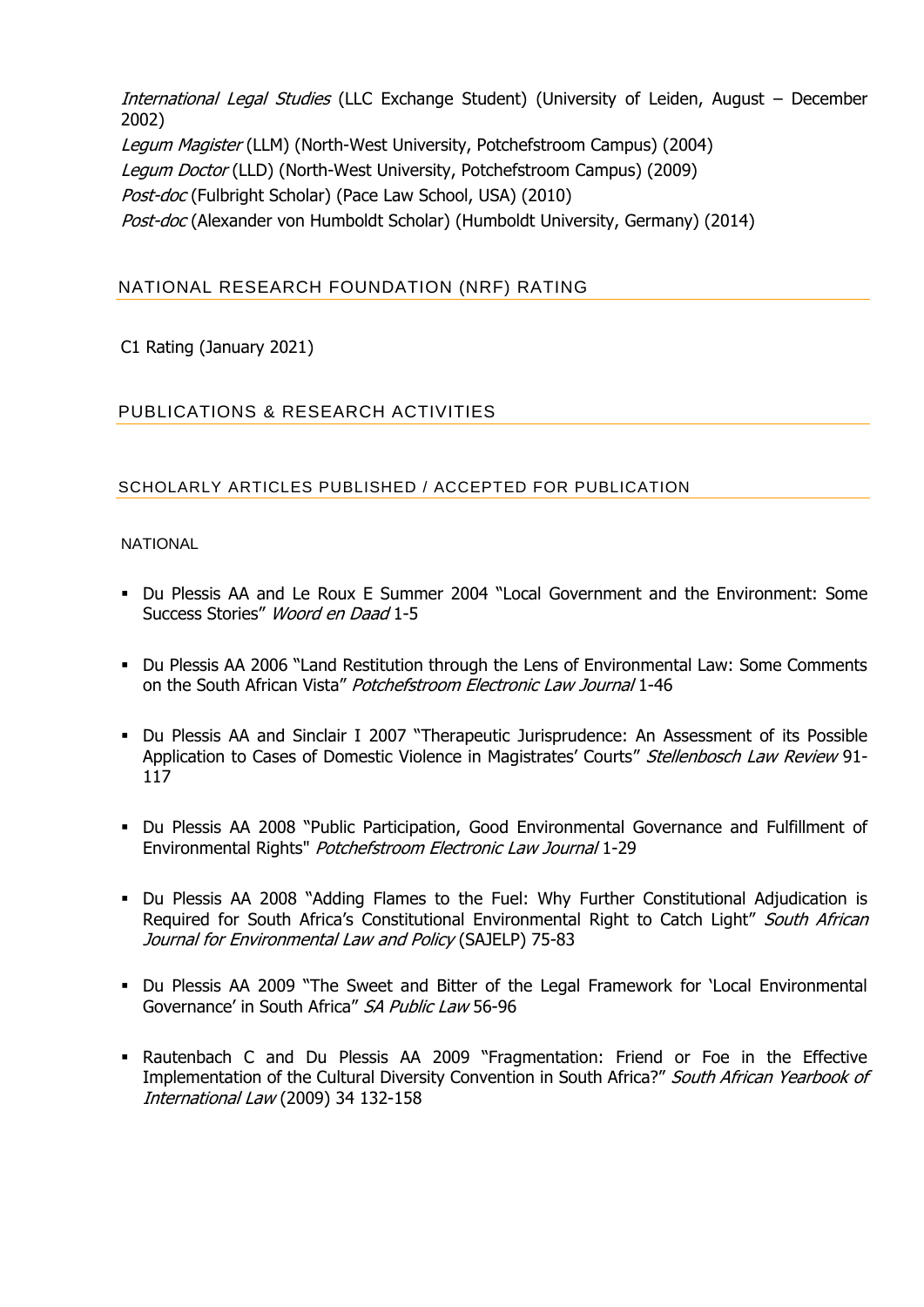International Legal Studies (LLC Exchange Student) (University of Leiden, August – December 2002) Legum Magister (LLM) (North-West University, Potchefstroom Campus) (2004) Legum Doctor (LLD) (North-West University, Potchefstroom Campus) (2009) Post-doc (Fulbright Scholar) (Pace Law School, USA) (2010) Post-doc (Alexander von Humboldt Scholar) (Humboldt University, Germany) (2014)

## NATIONAL RESEARCH FOUNDATION (NRF) RATING

C1 Rating (January 2021)

# PUBLICATIONS & RESEARCH ACTIVITIES

## SCHOLARLY ARTICLES PUBLISHED / ACCEPTED FOR PUBLICATION

## **NATIONAL**

- Du Plessis AA and Le Roux E Summer 2004 "Local Government and the Environment: Some Success Stories" Woord en Daad 1-5
- Du Plessis AA 2006 "Land Restitution through the Lens of Environmental Law: Some Comments on the South African Vista" Potchefstroom Electronic Law Journal 1-46
- Du Plessis AA and Sinclair I 2007 "Therapeutic Jurisprudence: An Assessment of its Possible Application to Cases of Domestic Violence in Magistrates' Courts" Stellenbosch Law Review 91-117
- Du Plessis AA 2008 "Public Participation, Good Environmental Governance and Fulfillment of Environmental Rights" Potchefstroom Electronic Law Journal 1-29
- Du Plessis AA 2008 "Adding Flames to the Fuel: Why Further Constitutional Adjudication is Required for South Africa's Constitutional Environmental Right to Catch Light" South African Journal for Environmental Law and Policy (SAJELP) 75-83
- Du Plessis AA 2009 "The Sweet and Bitter of the Legal Framework for 'Local Environmental Governance' in South Africa" SA Public Law 56-96
- Rautenbach C and Du Plessis AA 2009 "Fragmentation: Friend or Foe in the Effective Implementation of the Cultural Diversity Convention in South Africa?" South African Yearbook of International Law (2009) 34 132-158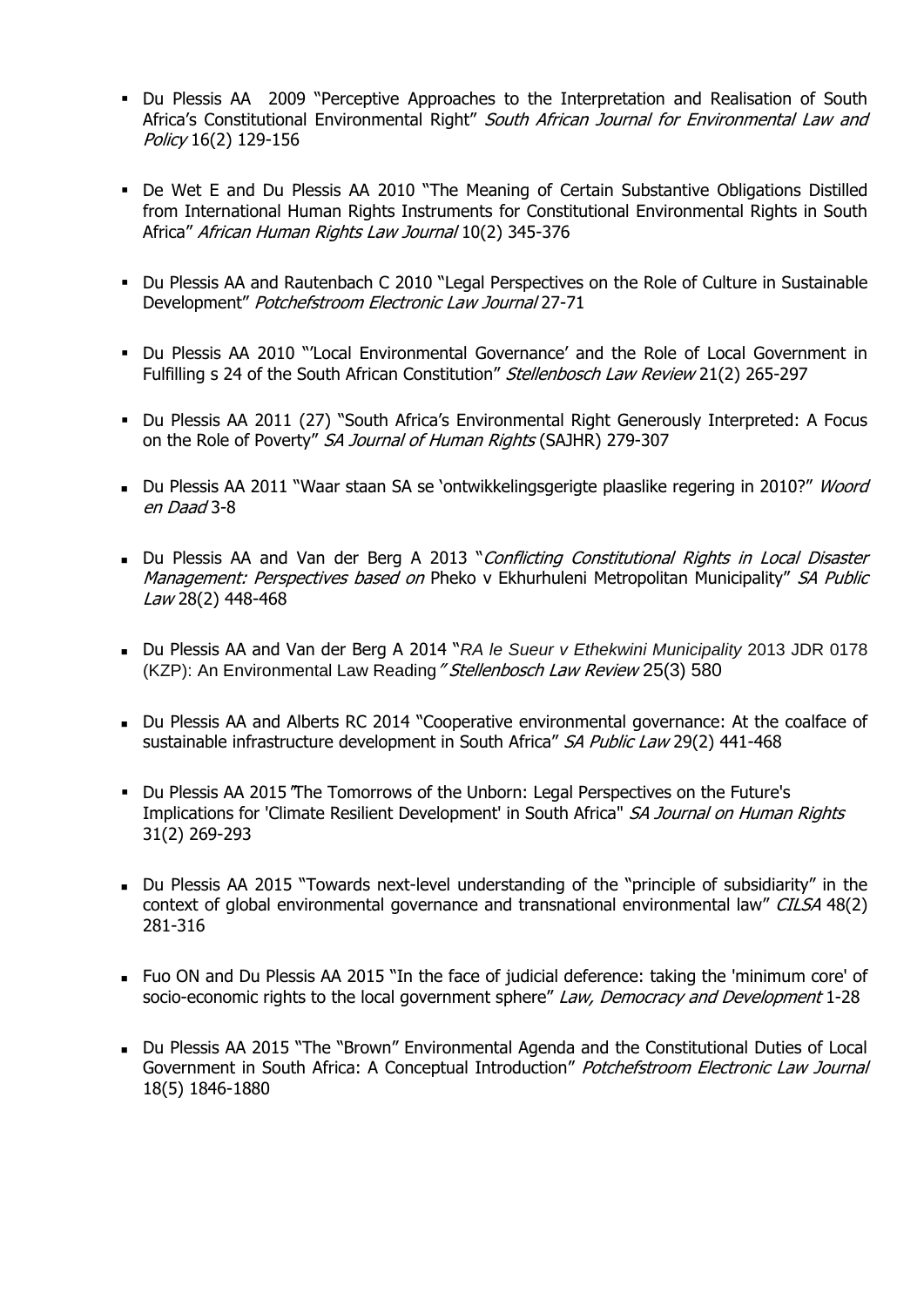- Du Plessis AA 2009 "Perceptive Approaches to the Interpretation and Realisation of South Africa's Constitutional Environmental Right" South African Journal for Environmental Law and Policy 16(2) 129-156
- De Wet E and Du Plessis AA 2010 "The Meaning of Certain Substantive Obligations Distilled from International Human Rights Instruments for Constitutional Environmental Rights in South Africa" African Human Rights Law Journal 10(2) 345-376
- Du Plessis AA and Rautenbach C 2010 "Legal Perspectives on the Role of Culture in Sustainable Development" Potchefstroom Electronic Law Journal 27-71
- Du Plessis AA 2010 "'Local Environmental Governance' and the Role of Local Government in Fulfilling s 24 of the South African Constitution" Stellenbosch Law Review 21(2) 265-297
- Du Plessis AA 2011 (27) "South Africa's Environmental Right Generously Interpreted: A Focus on the Role of Poverty" SA Journal of Human Rights (SAJHR) 279-307
- Du Plessis AA 2011 "Waar staan SA se `ontwikkelingsgerigte plaaslike regering in 2010?" Woord en Daad 3-8
- Du Plessis AA and Van der Berg A 2013 "Conflicting Constitutional Rights in Local Disaster Management: Perspectives based on Pheko v Ekhurhuleni Metropolitan Municipality" SA Public Law 28(2) 448-468
- Du Plessis AA and Van der Berg A 2014 "RA le Sueur v Ethekwini Municipality 2013 JDR 0178 (KZP): An Environmental Law Reading "Stellenbosch Law Review 25(3) 580
- Du Plessis AA and Alberts RC 2014 "Cooperative environmental governance: At the coalface of sustainable infrastructure development in South Africa" SA Public Law 29(2) 441-468
- Du Plessis AA 2015"The Tomorrows of the Unborn: Legal Perspectives on the Future's Implications for 'Climate Resilient Development' in South Africa" SA Journal on Human Rights 31(2) 269-293
- Du Plessis AA 2015 "Towards next-level understanding of the "principle of subsidiarity" in the context of global environmental governance and transnational environmental law" CILSA 48(2) 281-316
- Fuo ON and Du Plessis AA 2015 "In the face of judicial deference: taking the 'minimum core' of socio-economic rights to the local government sphere" Law, Democracy and Development 1-28
- Du Plessis AA 2015 "The "Brown" Environmental Agenda and the Constitutional Duties of Local Government in South Africa: A Conceptual Introduction" Potchefstroom Electronic Law Journal 18(5) 1846-1880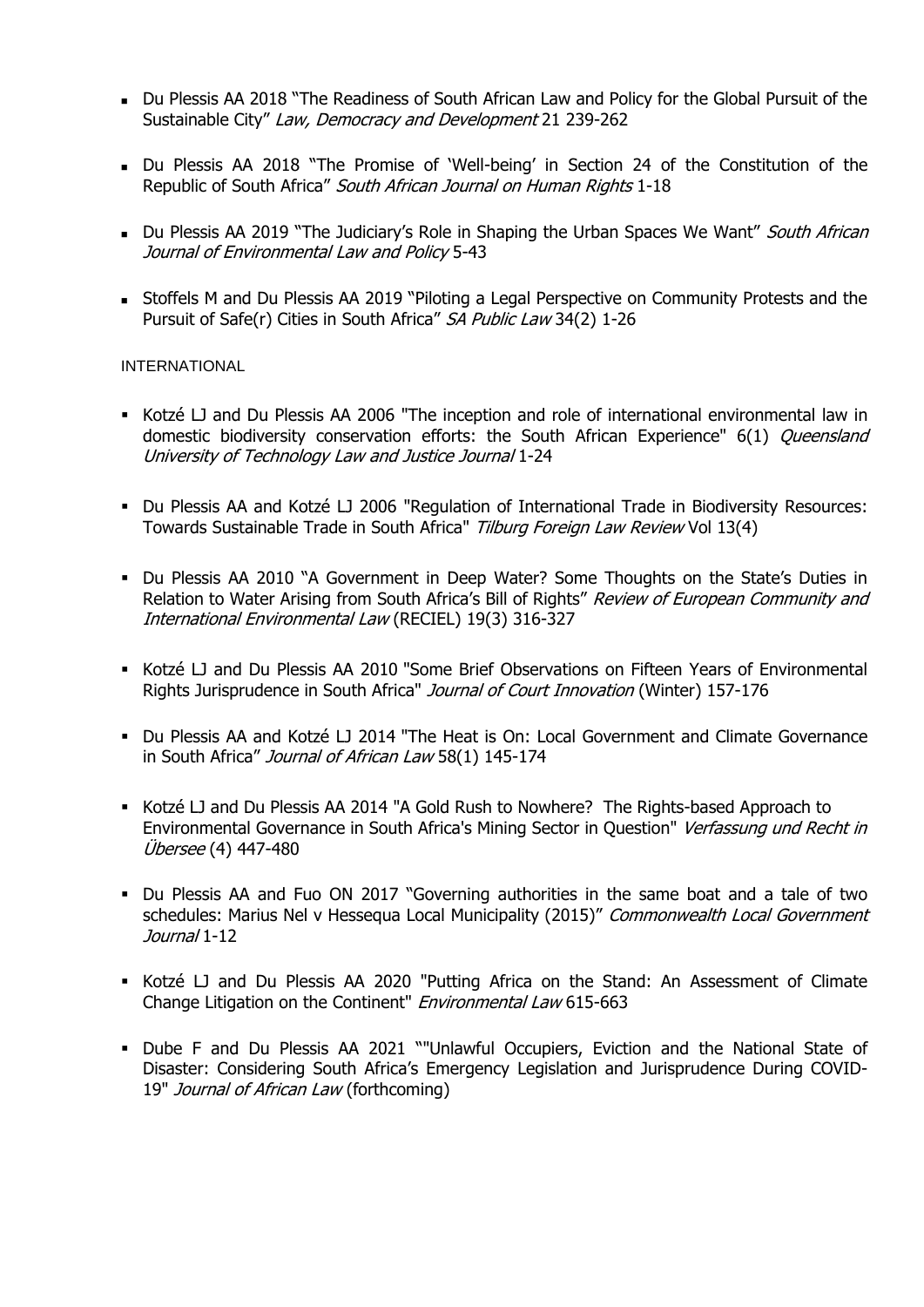- Du Plessis AA 2018 "The Readiness of South African Law and Policy for the Global Pursuit of the Sustainable City" Law, Democracy and Development 21 239-262
- Du Plessis AA 2018 "The Promise of 'Well-being' in Section 24 of the Constitution of the Republic of South Africa" South African Journal on Human Rights 1-18
- Du Plessis AA 2019 "The Judiciary's Role in Shaping the Urban Spaces We Want" South African Journal of Environmental Law and Policy 5-43
- Stoffels M and Du Plessis AA 2019 "Piloting a Legal Perspective on Community Protests and the Pursuit of Safe(r) Cities in South Africa" SA Public Law 34(2) 1-26

## INTERNATIONAL

- Kotzé LJ and Du Plessis AA 2006 "The inception and role of international environmental law in domestic biodiversity conservation efforts: the South African Experience" 6(1) *Oueensland* University of Technology Law and Justice Journal 1-24
- Du Plessis AA and Kotzé LJ 2006 "Regulation of International Trade in Biodiversity Resources: Towards Sustainable Trade in South Africa" Tilburg Foreign Law Review Vol 13(4)
- Du Plessis AA 2010 "A Government in Deep Water? Some Thoughts on the State's Duties in Relation to Water Arising from South Africa's Bill of Rights" Review of European Community and International Environmental Law (RECIEL) 19(3) 316-327
- Kotzé LJ and Du Plessis AA 2010 "Some Brief Observations on Fifteen Years of Environmental Rights Jurisprudence in South Africa" Journal of Court Innovation (Winter) 157-176
- Du Plessis AA and Kotzé LJ 2014 "The Heat is On: Local Government and Climate Governance in South Africa" Journal of African Law 58(1) 145-174
- Kotzé LJ and Du Plessis AA 2014 "A Gold Rush to Nowhere? The Rights-based Approach to Environmental Governance in South Africa's Mining Sector in Question" Verfassung und Recht in Übersee (4) 447-480
- Du Plessis AA and Fuo ON 2017 "Governing authorities in the same boat and a tale of two schedules: Marius Nel v Hessequa Local Municipality (2015)" Commonwealth Local Government Journal 1-12
- **EXECT And THE PRESS ARE 2020 "Putting Africa on the Stand: An Assessment of Climate** Change Litigation on the Continent" Environmental Law 615-663
- Dube F and Du Plessis AA 2021 ""Unlawful Occupiers, Eviction and the National State of Disaster: Considering South Africa's Emergency Legislation and Jurisprudence During COVID-19" Journal of African Law (forthcoming)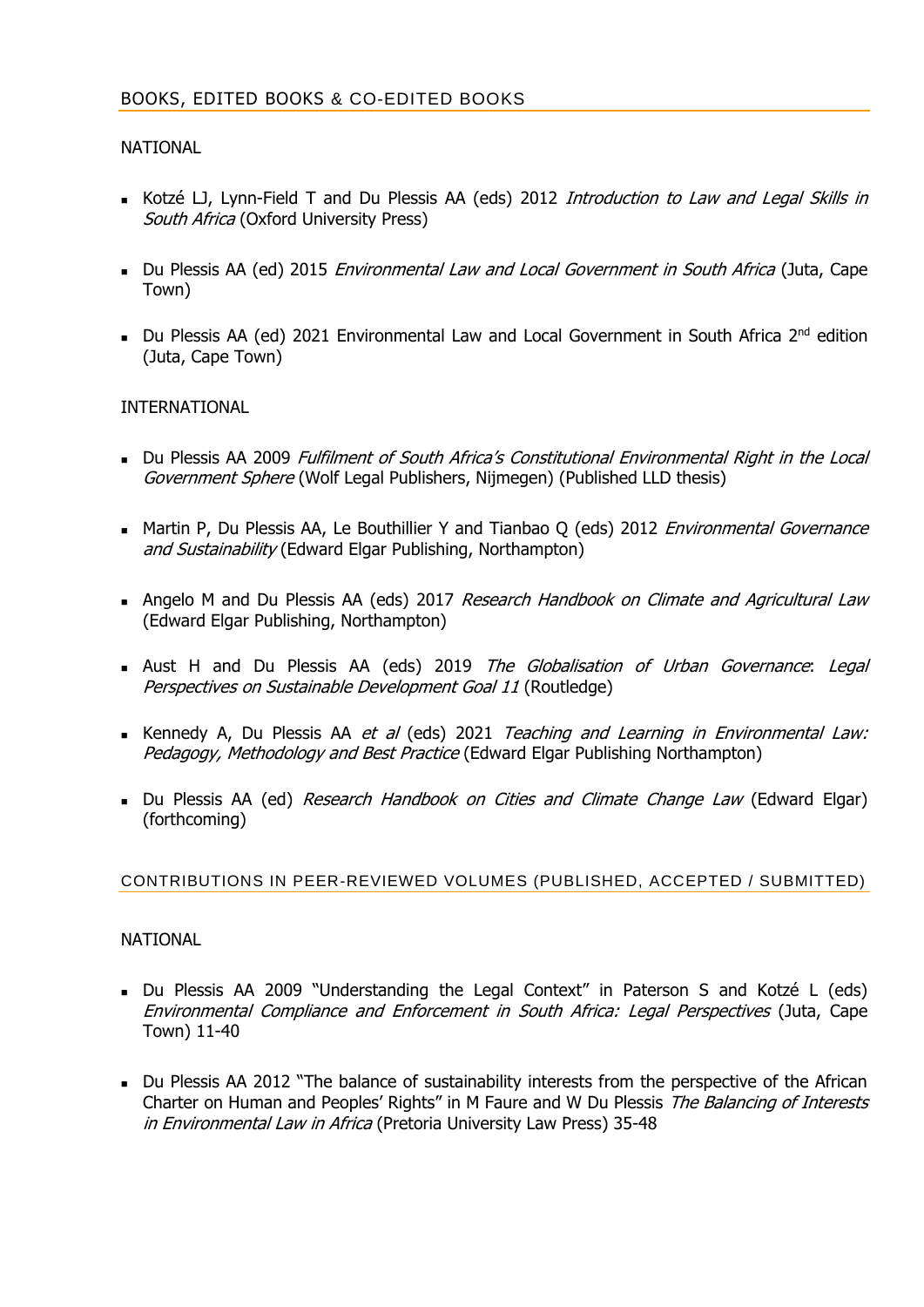## **NATIONAL**

- Kotzé LJ, Lynn-Field T and Du Plessis AA (eds) 2012 *Introduction to Law and Legal Skills in* South Africa (Oxford University Press)
- Du Plessis AA (ed) 2015 *Environmental Law and Local Government in South Africa* (Juta, Cape Town)
- Du Plessis AA (ed) 2021 Environmental Law and Local Government in South Africa 2<sup>nd</sup> edition (Juta, Cape Town)

## INTERNATIONAL

- Du Plessis AA 2009 *Fulfilment of South Africa's Constitutional Environmental Right in the Local* Government Sphere (Wolf Legal Publishers, Nijmegen) (Published LLD thesis)
- Martin P, Du Plessis AA, Le Bouthillier Y and Tianbao Q (eds) 2012 *Environmental Governance* and Sustainability (Edward Elgar Publishing, Northampton)
- **Angelo M and Du Plessis AA (eds) 2017 Research Handbook on Climate and Agricultural Law** (Edward Elgar Publishing, Northampton)
- Aust H and Du Plessis AA (eds) 2019 The Globalisation of Urban Governance: Legal Perspectives on Sustainable Development Goal 11 (Routledge)
- Kennedy A, Du Plessis AA et al (eds) 2021 Teaching and Learning in Environmental Law: Pedagogy, Methodology and Best Practice (Edward Elgar Publishing Northampton)
- **■** Du Plessis AA (ed) Research Handbook on Cities and Climate Change Law (Edward Elgar) (forthcoming)

CONTRIBUTIONS IN PEER-REVIEWED VOLUMES (PUBLISHED, ACCEPTED / SUBMITTED)

## NATIONAL

- Du Plessis AA 2009 "Understanding the Legal Context" in Paterson S and Kotzé L (eds) Environmental Compliance and Enforcement in South Africa: Legal Perspectives (Juta, Cape Town) 11-40
- Du Plessis AA 2012 "The balance of sustainability interests from the perspective of the African Charter on Human and Peoples' Rights" in M Faure and W Du Plessis The Balancing of Interests in Environmental Law in Africa (Pretoria University Law Press) 35-48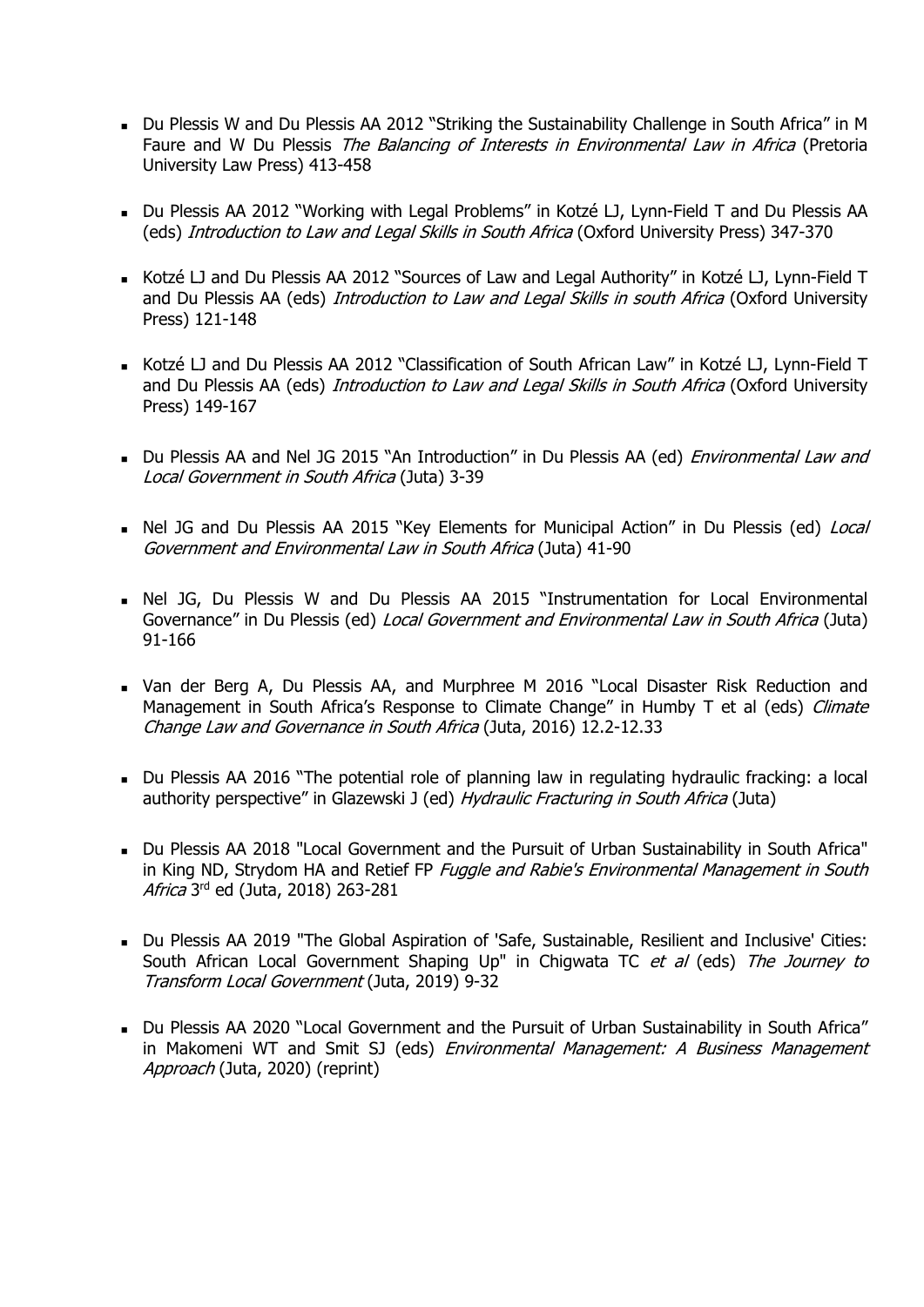- Du Plessis W and Du Plessis AA 2012 "Striking the Sustainability Challenge in South Africa" in M Faure and W Du Plessis The Balancing of Interests in Environmental Law in Africa (Pretoria University Law Press) 413-458
- Du Plessis AA 2012 "Working with Legal Problems" in Kotzé LJ, Lynn-Field T and Du Plessis AA (eds) Introduction to Law and Legal Skills in South Africa (Oxford University Press) 347-370
- Kotzé LJ and Du Plessis AA 2012 "Sources of Law and Legal Authority" in Kotzé LJ, Lynn-Field T and Du Plessis AA (eds) Introduction to Law and Legal Skills in south Africa (Oxford University Press) 121-148
- Kotzé LJ and Du Plessis AA 2012 "Classification of South African Law" in Kotzé LJ, Lynn-Field T and Du Plessis AA (eds) Introduction to Law and Legal Skills in South Africa (Oxford University Press) 149-167
- Du Plessis AA and Nel JG 2015 "An Introduction" in Du Plessis AA (ed) *Environmental Law and* Local Government in South Africa (Juta) 3-39
- Nel JG and Du Plessis AA 2015 "Key Elements for Municipal Action" in Du Plessis (ed) Local Government and Environmental Law in South Africa (Juta) 41-90
- Nel JG, Du Plessis W and Du Plessis AA 2015 "Instrumentation for Local Environmental Governance" in Du Plessis (ed) Local Government and Environmental Law in South Africa (Juta) 91-166
- Van der Berg A, Du Plessis AA, and Murphree M 2016 "Local Disaster Risk Reduction and Management in South Africa's Response to Climate Change" in Humby T et al (eds) Climate Change Law and Governance in South Africa (Juta, 2016) 12.2-12.33
- Du Plessis AA 2016 "The potential role of planning law in regulating hydraulic fracking: a local authority perspective" in Glazewski J (ed) Hydraulic Fracturing in South Africa (Juta)
- Du Plessis AA 2018 "Local Government and the Pursuit of Urban Sustainability in South Africa" in King ND, Strydom HA and Retief FP Fuggle and Rabie's Environmental Management in South Africa 3rd ed (Juta, 2018) 263-281
- Du Plessis AA 2019 "The Global Aspiration of 'Safe, Sustainable, Resilient and Inclusive' Cities: South African Local Government Shaping Up" in Chigwata TC et al (eds) The Journey to Transform Local Government (Juta, 2019) 9-32
- Du Plessis AA 2020 "Local Government and the Pursuit of Urban Sustainability in South Africa" in Makomeni WT and Smit SJ (eds) Environmental Management: A Business Management Approach (Juta, 2020) (reprint)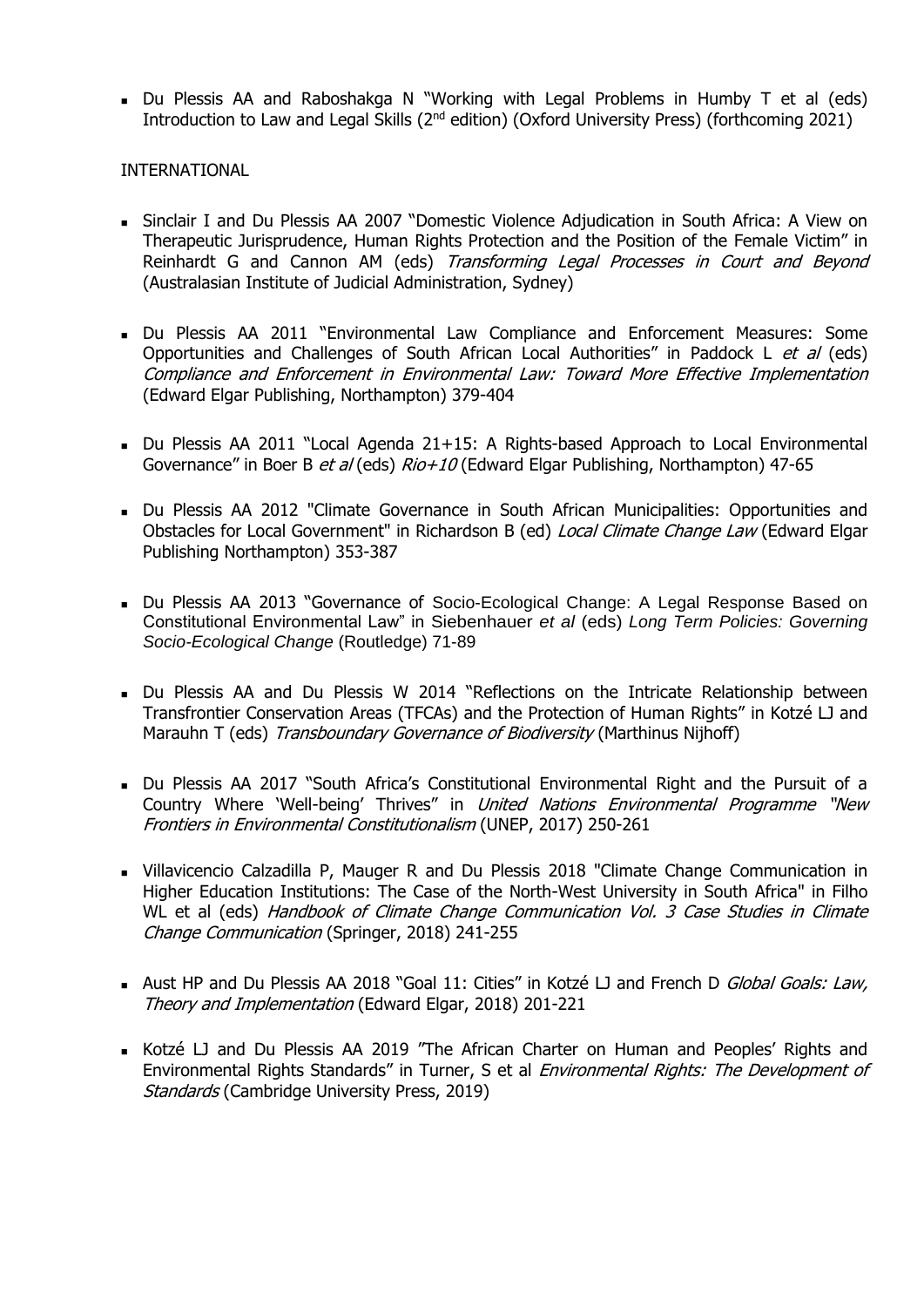■ Du Plessis AA and Raboshakga N "Working with Legal Problems in Humby T et al (eds) Introduction to Law and Legal Skills (2<sup>nd</sup> edition) (Oxford University Press) (forthcoming 2021)

#### INTERNATIONAL

- Sinclair I and Du Plessis AA 2007 "Domestic Violence Adjudication in South Africa: A View on Therapeutic Jurisprudence, Human Rights Protection and the Position of the Female Victim" in Reinhardt G and Cannon AM (eds) Transforming Legal Processes in Court and Beyond (Australasian Institute of Judicial Administration, Sydney)
- Du Plessis AA 2011 "Environmental Law Compliance and Enforcement Measures: Some Opportunities and Challenges of South African Local Authorities" in Paddock L et al (eds) Compliance and Enforcement in Environmental Law: Toward More Effective Implementation (Edward Elgar Publishing, Northampton) 379-404
- Du Plessis AA 2011 "Local Agenda 21+15: A Rights-based Approach to Local Environmental Governance" in Boer B et al (eds) Rio+10 (Edward Elgar Publishing, Northampton) 47-65
- Du Plessis AA 2012 "Climate Governance in South African Municipalities: Opportunities and Obstacles for Local Government" in Richardson B (ed) Local Climate Change Law (Edward Elgar Publishing Northampton) 353-387
- Du Plessis AA 2013 "Governance of Socio-Ecological Change: A Legal Response Based on Constitutional Environmental Law" in Siebenhauer *et al* (eds) *Long Term Policies: Governing Socio-Ecological Change* (Routledge) 71-89
- <sup>◼</sup> Du Plessis AA and Du Plessis W 2014 "Reflections on the Intricate Relationship between Transfrontier Conservation Areas (TFCAs) and the Protection of Human Rights" in Kotzé LJ and Marauhn T (eds) Transboundary Governance of Biodiversity (Marthinus Nijhoff)
- Du Plessis AA 2017 "South Africa's Constitutional Environmental Right and the Pursuit of a Country Where 'Well-being' Thrives" in United Nations Environmental Programme "New Frontiers in Environmental Constitutionalism (UNEP, 2017) 250-261
- Villavicencio Calzadilla P, Mauger R and Du Plessis 2018 "Climate Change Communication in Higher Education Institutions: The Case of the North-West University in South Africa" in Filho WL et al (eds) Handbook of Climate Change Communication Vol. 3 Case Studies in Climate Change Communication (Springer, 2018) 241-255
- Aust HP and Du Plessis AA 2018 "Goal 11: Cities" in Kotzé LJ and French D Global Goals: Law, Theory and Implementation (Edward Elgar, 2018) 201-221
- Kotzé □ and Du Plessis AA 2019 "The African Charter on Human and Peoples' Rights and Environmental Rights Standards" in Turner, S et al Environmental Rights: The Development of Standards (Cambridge University Press, 2019)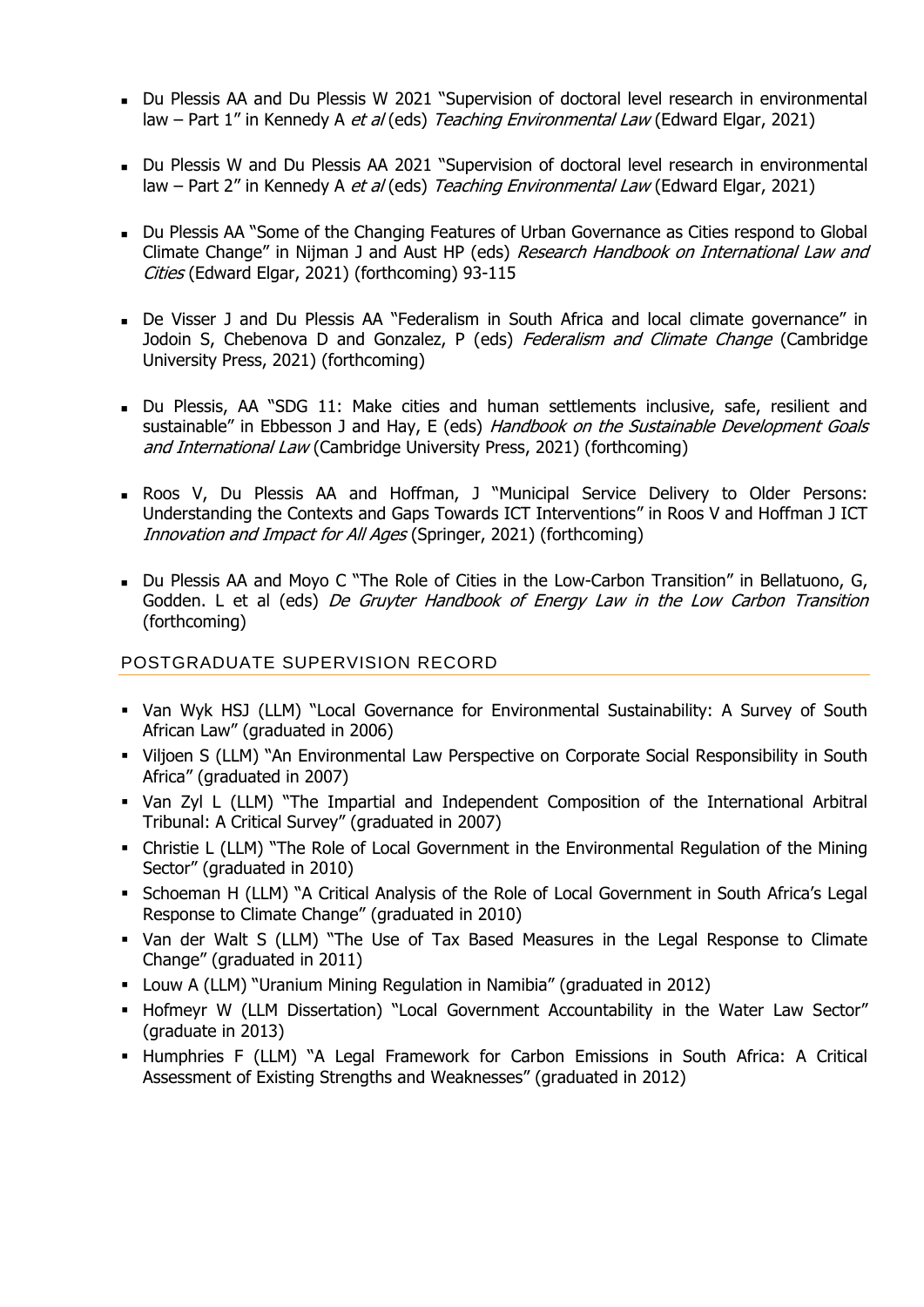- Du Plessis AA and Du Plessis W 2021 "Supervision of doctoral level research in environmental law – Part 1" in Kennedy A et al (eds) Teaching Environmental Law (Edward Elgar, 2021)
- Du Plessis W and Du Plessis AA 2021 "Supervision of doctoral level research in environmental law – Part 2" in Kennedy A et al (eds) Teaching Environmental Law (Edward Elgar, 2021)
- Du Plessis AA "Some of the Changing Features of Urban Governance as Cities respond to Global Climate Change" in Nijman J and Aust HP (eds) Research Handbook on International Law and Cities (Edward Elgar, 2021) (forthcoming) 93-115
- De Visser J and Du Plessis AA "Federalism in South Africa and local climate governance" in Jodoin S, Chebenova D and Gonzalez, P (eds) Federalism and Climate Change (Cambridge University Press, 2021) (forthcoming)
- Du Plessis, AA "SDG 11: Make cities and human settlements inclusive, safe, resilient and sustainable" in Ebbesson J and Hay, E (eds) Handbook on the Sustainable Development Goals and International Law (Cambridge University Press, 2021) (forthcoming)
- Roos V, Du Plessis AA and Hoffman, J "Municipal Service Delivery to Older Persons: Understanding the Contexts and Gaps Towards ICT Interventions" in Roos V and Hoffman J ICT Innovation and Impact for All Ages (Springer, 2021) (forthcoming)
- Du Plessis AA and Moyo C "The Role of Cities in the Low-Carbon Transition" in Bellatuono, G, Godden. L et al (eds) De Gruyter Handbook of Energy Law in the Low Carbon Transition (forthcoming)

## POSTGRADUATE SUPERVISION RECORD

- Van Wyk HSJ (LLM) "Local Governance for Environmental Sustainability: A Survey of South African Law" (graduated in 2006)
- **Viljoen S (LLM) "An Environmental Law Perspective on Corporate Social Responsibility in South** Africa" (graduated in 2007)
- Van Zyl L (LLM) "The Impartial and Independent Composition of the International Arbitral Tribunal: A Critical Survey" (graduated in 2007)
- **Christie L (LLM) "The Role of Local Government in the Environmental Regulation of the Mining** Sector" (graduated in 2010)
- Schoeman H (LLM) "A Critical Analysis of the Role of Local Government in South Africa's Legal Response to Climate Change" (graduated in 2010)
- Van der Walt S (LLM) "The Use of Tax Based Measures in the Legal Response to Climate Change" (graduated in 2011)
- Louw A (LLM) "Uranium Mining Regulation in Namibia" (graduated in 2012)
- **Hofmeyr W (LLM Dissertation) "Local Government Accountability in the Water Law Sector"** (graduate in 2013)
- **.** Humphries F (LLM) "A Legal Framework for Carbon Emissions in South Africa: A Critical Assessment of Existing Strengths and Weaknesses" (graduated in 2012)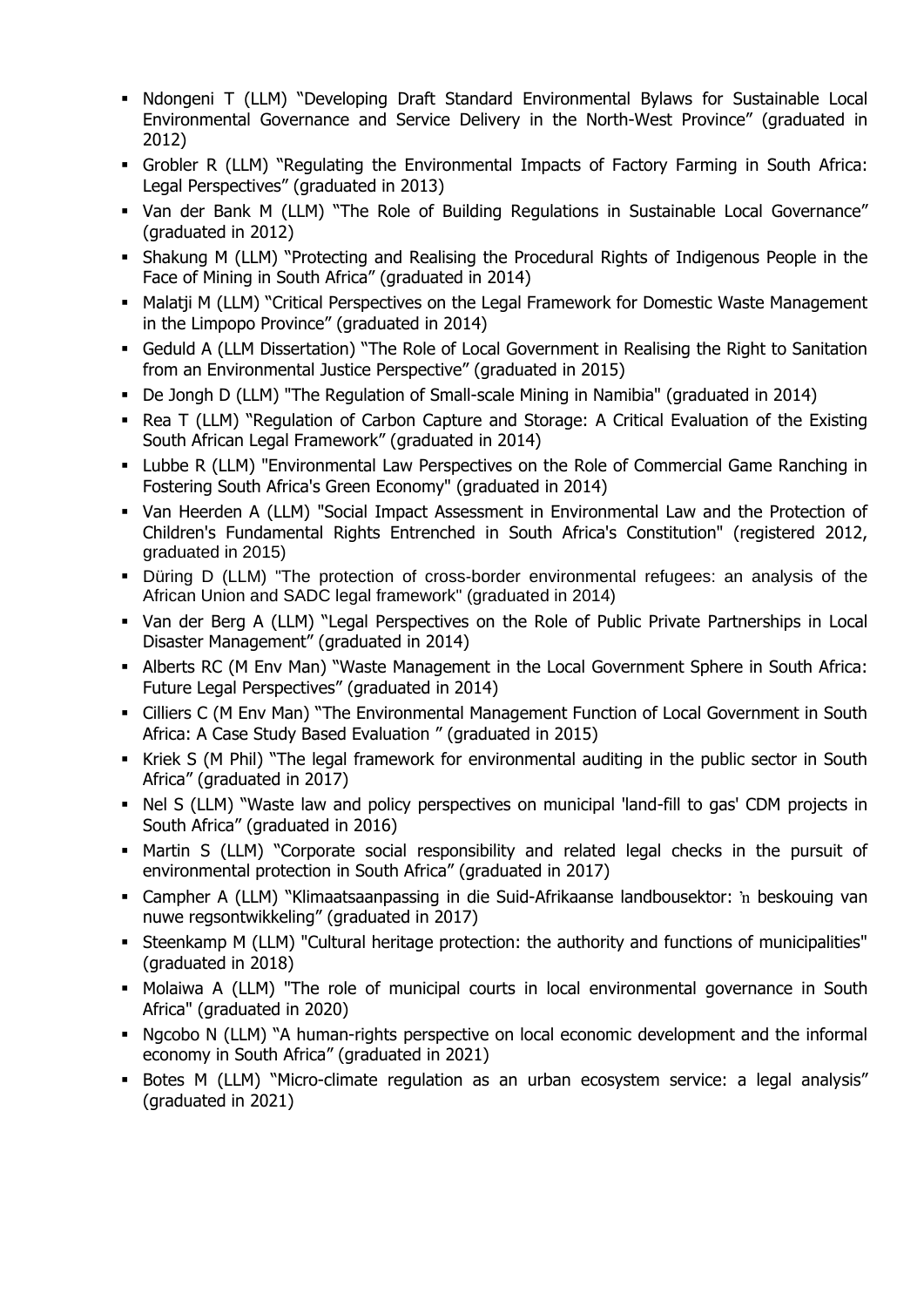- **Ndongeni T (LLM) "Developing Draft Standard Environmental Bylaws for Sustainable Local** Environmental Governance and Service Delivery in the North-West Province" (graduated in 2012)
- Grobler R (LLM) "Regulating the Environmental Impacts of Factory Farming in South Africa: Legal Perspectives" (graduated in 2013)
- Van der Bank M (LLM) "The Role of Building Regulations in Sustainable Local Governance" (graduated in 2012)
- Shakung M (LLM) "Protecting and Realising the Procedural Rights of Indigenous People in the Face of Mining in South Africa" (graduated in 2014)
- **Malatji M (LLM) "Critical Perspectives on the Legal Framework for Domestic Waste Management** in the Limpopo Province" (graduated in 2014)
- **Geduld A (LLM Dissertation) "The Role of Local Government in Realising the Right to Sanitation** from an Environmental Justice Perspective" (graduated in 2015)
- De Jongh D (LLM) "The Regulation of Small-scale Mining in Namibia" (graduated in 2014)
- Rea T (LLM) "Regulation of Carbon Capture and Storage: A Critical Evaluation of the Existing South African Legal Framework" (graduated in 2014)
- Lubbe R (LLM) "Environmental Law Perspectives on the Role of Commercial Game Ranching in Fostering South Africa's Green Economy" (graduated in 2014)
- Van Heerden A (LLM) "Social Impact Assessment in Environmental Law and the Protection of Children's Fundamental Rights Entrenched in South Africa's Constitution" (registered 2012, graduated in 2015)
- Düring D (LLM) "The protection of cross-border environmental refugees: an analysis of the African Union and SADC legal framework" (graduated in 2014)
- Van der Berg A (LLM) "Legal Perspectives on the Role of Public Private Partnerships in Local Disaster Management" (graduated in 2014)
- Alberts RC (M Env Man) "Waste Management in the Local Government Sphere in South Africa: Future Legal Perspectives" (graduated in 2014)
- **Cilliers C (M Env Man) "The Environmental Management Function of Local Government in South** Africa: A Case Study Based Evaluation " (graduated in 2015)
- **EXTERNALEY 15 K** Fields The legal framework for environmental auditing in the public sector in South Africa" (graduated in 2017)
- Nel S (LLM) "Waste law and policy perspectives on municipal 'land-fill to gas' CDM projects in South Africa" (graduated in 2016)
- Martin S (LLM) "Corporate social responsibility and related legal checks in the pursuit of environmental protection in South Africa" (graduated in 2017)
- Campher A (LLM) "Klimaatsaanpassing in die Suid-Afrikaanse landbousektor: 'n beskouing van nuwe regsontwikkeling" (graduated in 2017)
- Steenkamp M (LLM) "Cultural heritage protection: the authority and functions of municipalities" (graduated in 2018)
- Molaiwa A (LLM) "The role of municipal courts in local environmental governance in South Africa" (graduated in 2020)
- Ngcobo N (LLM) "A human-rights perspective on local economic development and the informal economy in South Africa" (graduated in 2021)
- Botes M (LLM) "Micro-climate regulation as an urban ecosystem service: a legal analysis" (graduated in 2021)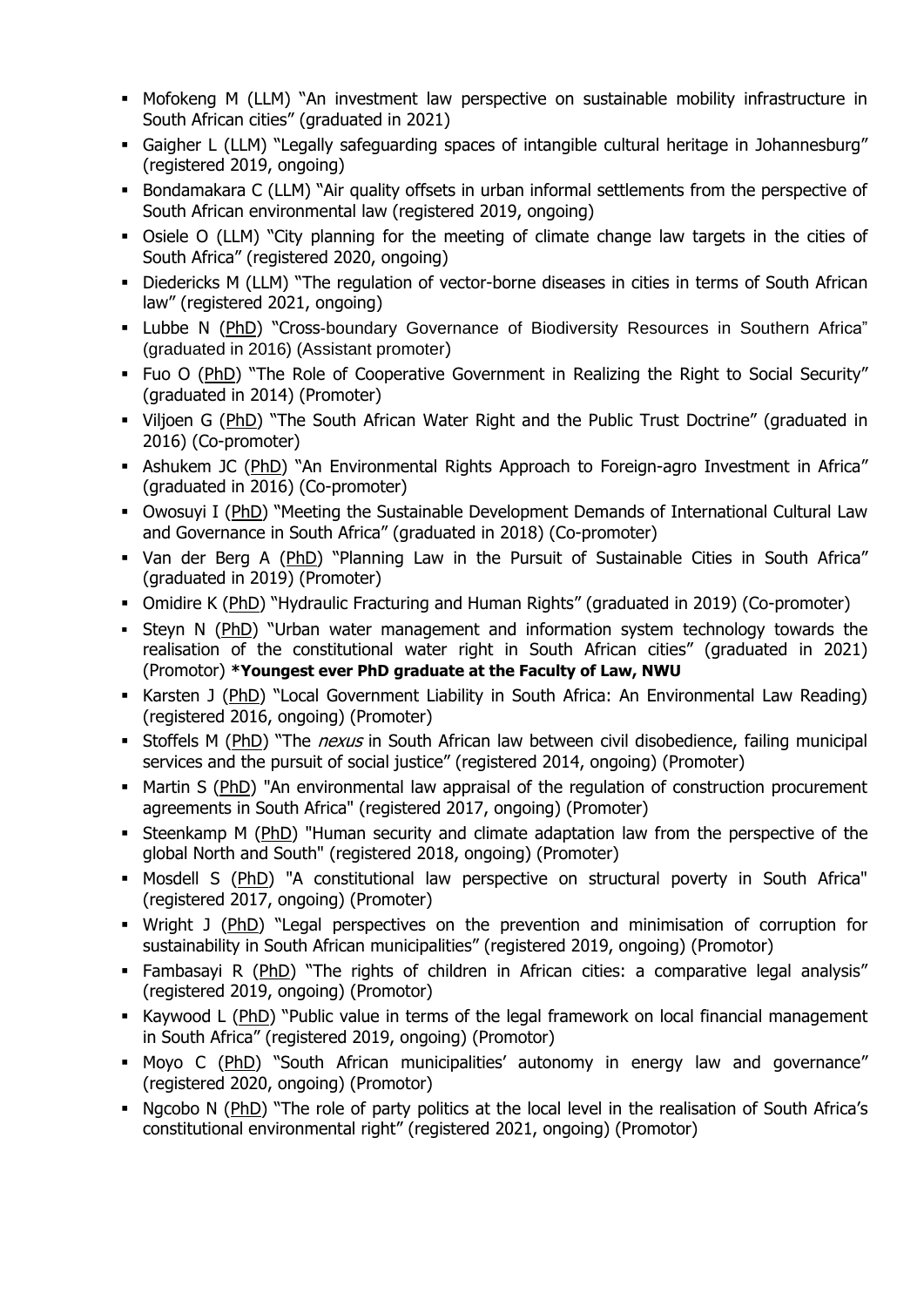- Mofokeng M (LLM) "An investment law perspective on sustainable mobility infrastructure in South African cities" (graduated in 2021)
- Gaigher L (LLM) "Legally safeguarding spaces of intangible cultural heritage in Johannesburg" (registered 2019, ongoing)
- Bondamakara C (LLM) "Air quality offsets in urban informal settlements from the perspective of South African environmental law (registered 2019, ongoing)
- Osiele O (LLM) "City planning for the meeting of climate change law targets in the cities of South Africa" (registered 2020, ongoing)
- **Diedericks M (LLM) "The regulation of vector-borne diseases in cities in terms of South African** law" (registered 2021, ongoing)
- **E** Lubbe N (PhD) "Cross-boundary Governance of Biodiversity Resources in Southern Africa" (graduated in 2016) (Assistant promoter)
- Fuo O (PhD) "The Role of Cooperative Government in Realizing the Right to Social Security" (graduated in 2014) (Promoter)
- Viljoen G (PhD) "The South African Water Right and the Public Trust Doctrine" (graduated in 2016) (Co-promoter)
- **Ashukem JC (PhD) "An Environmental Rights Approach to Foreign-agro Investment in Africa"** (graduated in 2016) (Co-promoter)
- Owosuyi I (PhD) "Meeting the Sustainable Development Demands of International Cultural Law and Governance in South Africa" (graduated in 2018) (Co-promoter)
- Van der Berg A (PhD) "Planning Law in the Pursuit of Sustainable Cities in South Africa" (graduated in 2019) (Promoter)
- Omidire K (PhD) "Hydraulic Fracturing and Human Rights" (graduated in 2019) (Co-promoter)
- Steyn N (PhD) "Urban water management and information system technology towards the realisation of the constitutional water right in South African cities" (graduated in 2021) (Promotor) **\*Youngest ever PhD graduate at the Faculty of Law, NWU**
- **EXALLERGIER 12 (PhD)** "Local Government Liability in South Africa: An Environmental Law Reading) (registered 2016, ongoing) (Promoter)
- **•** Stoffels M (PhD) "The *nexus* in South African law between civil disobedience, failing municipal services and the pursuit of social justice" (registered 2014, ongoing) (Promoter)
- **•** Martin S (PhD) "An environmental law appraisal of the regulation of construction procurement agreements in South Africa" (registered 2017, ongoing) (Promoter)
- **•** Steenkamp M (PhD) "Human security and climate adaptation law from the perspective of the global North and South" (registered 2018, ongoing) (Promoter)
- Mosdell S (PhD) "A constitutional law perspective on structural poverty in South Africa" (registered 2017, ongoing) (Promoter)
- Wright J (PhD) "Legal perspectives on the prevention and minimisation of corruption for sustainability in South African municipalities" (registered 2019, ongoing) (Promotor)
- Fambasayi R (PhD) "The rights of children in African cities: a comparative legal analysis" (registered 2019, ongoing) (Promotor)
- **EX** Kaywood L (PhD) "Public value in terms of the legal framework on local financial management in South Africa" (registered 2019, ongoing) (Promotor)
- **•** Moyo C (PhD) "South African municipalities' autonomy in energy law and governance" (registered 2020, ongoing) (Promotor)
- **EX Ngcobo N (PhD)** "The role of party politics at the local level in the realisation of South Africa's constitutional environmental right" (registered 2021, ongoing) (Promotor)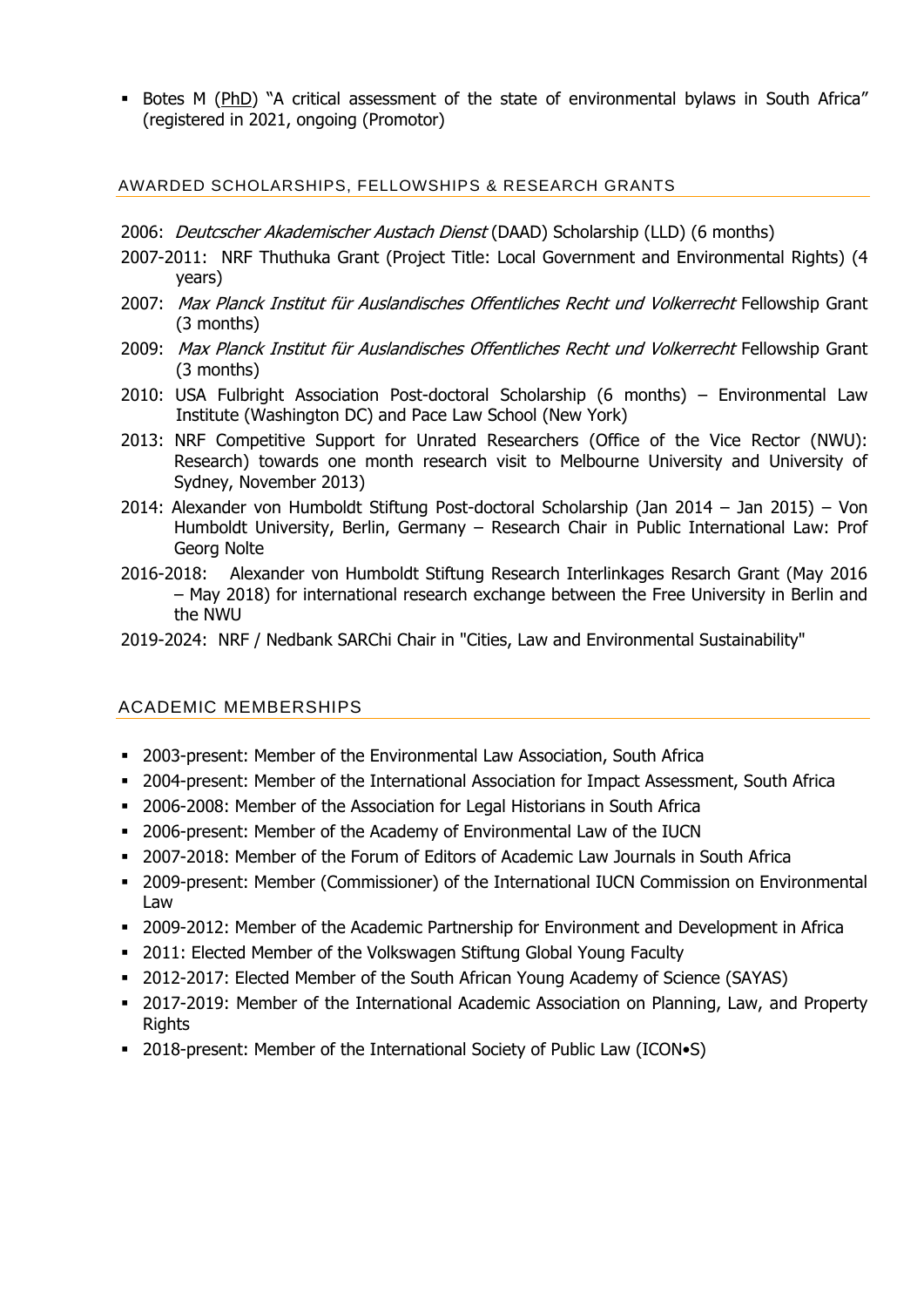▪ Botes M (PhD) "A critical assessment of the state of environmental bylaws in South Africa" (registered in 2021, ongoing (Promotor)

#### AWARDED SCHOLARSHIPS, FELLOWSHIPS & RESEARCH GRANTS

- 2006: Deutcscher Akademischer Austach Dienst (DAAD) Scholarship (LLD) (6 months)
- 2007-2011: NRF Thuthuka Grant (Project Title: Local Government and Environmental Rights) (4 years)
- 2007: Max Planck Institut für Auslandisches Offentliches Recht und Volkerrecht Fellowship Grant (3 months)
- 2009: Max Planck Institut für Auslandisches Offentliches Recht und Volkerrecht Fellowship Grant (3 months)
- 2010: USA Fulbright Association Post-doctoral Scholarship (6 months) Environmental Law Institute (Washington DC) and Pace Law School (New York)
- 2013: NRF Competitive Support for Unrated Researchers (Office of the Vice Rector (NWU): Research) towards one month research visit to Melbourne University and University of Sydney, November 2013)
- 2014: Alexander von Humboldt Stiftung Post-doctoral Scholarship (Jan 2014 Jan 2015) Von Humboldt University, Berlin, Germany – Research Chair in Public International Law: Prof Georg Nolte
- 2016-2018: Alexander von Humboldt Stiftung Research Interlinkages Resarch Grant (May 2016 – May 2018) for international research exchange between the Free University in Berlin and the NWU
- 2019-2024: NRF / Nedbank SARChi Chair in "Cities, Law and Environmental Sustainability"

## ACADEMIC MEMBERSHIPS

- 2003-present: Member of the Environmental Law Association, South Africa
- 2004-present: Member of the International Association for Impact Assessment, South Africa
- 2006-2008: Member of the Association for Legal Historians in South Africa
- 2006-present: Member of the Academy of Environmental Law of the IUCN
- 2007-2018: Member of the Forum of Editors of Academic Law Journals in South Africa
- 2009-present: Member (Commissioner) of the International IUCN Commission on Environmental Law
- 2009-2012: Member of the Academic Partnership for Environment and Development in Africa
- 2011: Elected Member of the Volkswagen Stiftung Global Young Faculty
- 2012-2017: Elected Member of the South African Young Academy of Science (SAYAS)
- 2017-2019: Member of the International Academic Association on Planning, Law, and Property **Rights**
- 2018-present: Member of the International Society of Public Law (ICON●S)